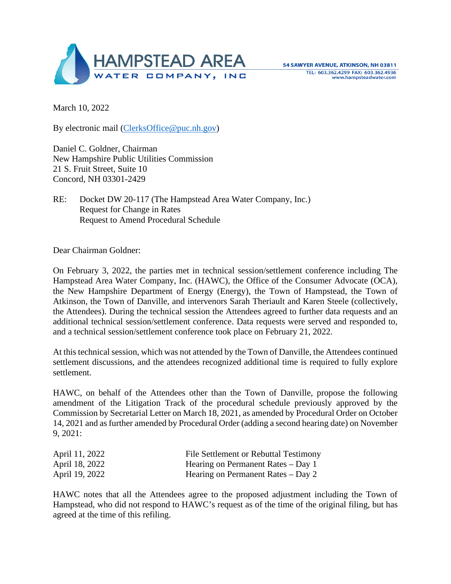

March 10, 2022

By electronic mail [\(ClerksOffice@puc.nh.gov\)](mailto:ClerksOffice@puc.nh.gov)

Daniel C. Goldner, Chairman New Hampshire Public Utilities Commission 21 S. Fruit Street, Suite 10 Concord, NH 03301-2429

RE: Docket DW 20-117 (The Hampstead Area Water Company, Inc.) Request for Change in Rates Request to Amend Procedural Schedule

Dear Chairman Goldner:

On February 3, 2022, the parties met in technical session/settlement conference including The Hampstead Area Water Company, Inc. (HAWC), the Office of the Consumer Advocate (OCA), the New Hampshire Department of Energy (Energy), the Town of Hampstead, the Town of Atkinson, the Town of Danville, and intervenors Sarah Theriault and Karen Steele (collectively, the Attendees). During the technical session the Attendees agreed to further data requests and an additional technical session/settlement conference. Data requests were served and responded to, and a technical session/settlement conference took place on February 21, 2022.

At this technical session, which was not attended by the Town of Danville, the Attendees continued settlement discussions, and the attendees recognized additional time is required to fully explore settlement.

HAWC, on behalf of the Attendees other than the Town of Danville, propose the following amendment of the Litigation Track of the procedural schedule previously approved by the Commission by Secretarial Letter on March 18, 2021, as amended by Procedural Order on October 14, 2021 and as further amended by Procedural Order (adding a second hearing date) on November 9, 2021:

| April 11, 2022 | File Settlement or Rebuttal Testimony |
|----------------|---------------------------------------|
| April 18, 2022 | Hearing on Permanent Rates $-$ Day 1  |
| April 19, 2022 | Hearing on Permanent Rates $-$ Day 2  |

HAWC notes that all the Attendees agree to the proposed adjustment including the Town of Hampstead, who did not respond to HAWC's request as of the time of the original filing, but has agreed at the time of this refiling.